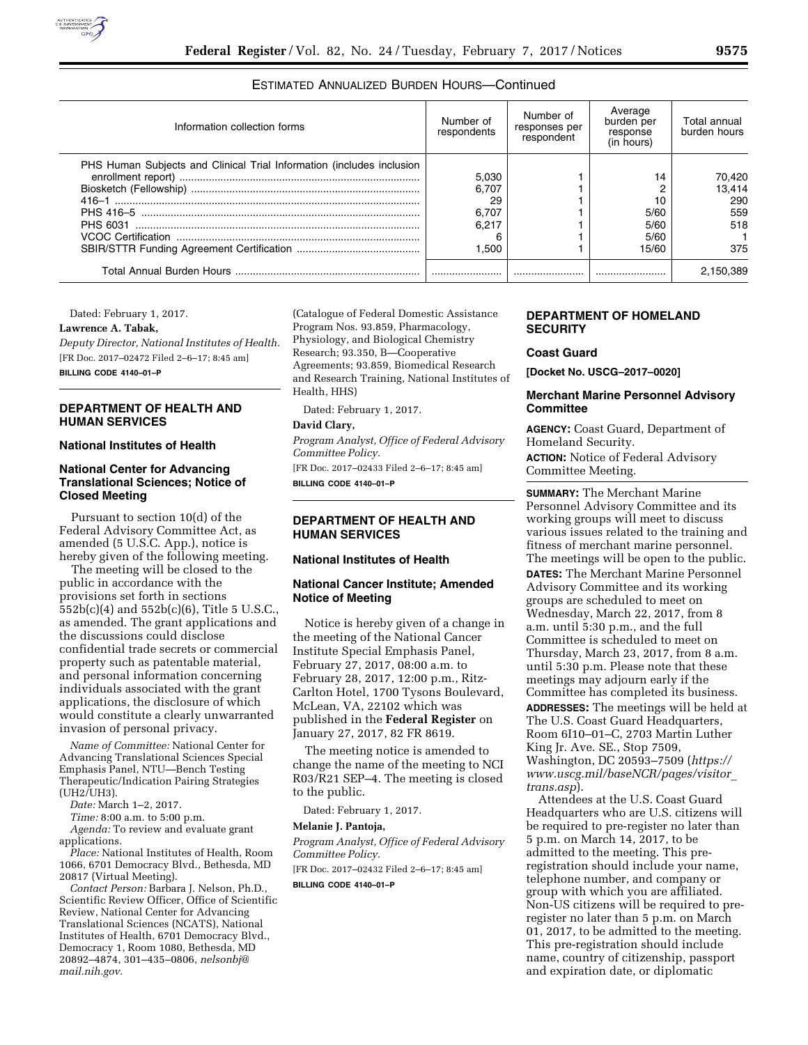

# ESTIMATED ANNUALIZED BURDEN HOURS—Continued

| Information collection forms                                          | Number of<br>respondents | Number of<br>responses per<br>respondent | Average<br>burden per<br>response<br>(in hours) | Total annual<br>burden hours |
|-----------------------------------------------------------------------|--------------------------|------------------------------------------|-------------------------------------------------|------------------------------|
| PHS Human Subjects and Clinical Trial Information (includes inclusion |                          |                                          |                                                 |                              |
|                                                                       | 5,030                    |                                          | 14                                              | 70,420                       |
|                                                                       | 6.707                    |                                          |                                                 | 13.414                       |
|                                                                       | 29                       |                                          | 10                                              | 290                          |
|                                                                       | 6,707                    |                                          | 5/60                                            | 559                          |
|                                                                       | 6.217                    |                                          | 5/60                                            | 518                          |
|                                                                       |                          |                                          | 5/60                                            |                              |
|                                                                       | 1.500                    |                                          | 15/60                                           | 375                          |
|                                                                       |                          |                                          |                                                 | 2.150.389                    |

Dated: February 1, 2017.

**Lawrence A. Tabak,** 

*Deputy Director, National Institutes of Health.*  [FR Doc. 2017–02472 Filed 2–6–17; 8:45 am] **BILLING CODE 4140–01–P** 

# **DEPARTMENT OF HEALTH AND HUMAN SERVICES**

**National Institutes of Health** 

## **National Center for Advancing Translational Sciences; Notice of Closed Meeting**

Pursuant to section 10(d) of the Federal Advisory Committee Act, as amended (5 U.S.C. App.), notice is hereby given of the following meeting.

The meeting will be closed to the public in accordance with the provisions set forth in sections 552b(c)(4) and 552b(c)(6), Title 5 U.S.C., as amended. The grant applications and the discussions could disclose confidential trade secrets or commercial property such as patentable material, and personal information concerning individuals associated with the grant applications, the disclosure of which would constitute a clearly unwarranted invasion of personal privacy.

*Name of Committee:* National Center for Advancing Translational Sciences Special Emphasis Panel, NTU—Bench Testing Therapeutic/Indication Pairing Strategies (UH2/UH3).

*Date:* March 1–2, 2017.

*Time:* 8:00 a.m. to 5:00 p.m.

*Agenda:* To review and evaluate grant applications.

*Place:* National Institutes of Health, Room 1066, 6701 Democracy Blvd., Bethesda, MD 20817 (Virtual Meeting).

*Contact Person:* Barbara J. Nelson, Ph.D., Scientific Review Officer, Office of Scientific Review, National Center for Advancing Translational Sciences (NCATS), National Institutes of Health, 6701 Democracy Blvd., Democracy 1, Room 1080, Bethesda, MD 20892–4874, 301–435–0806, *[nelsonbj@](mailto:nelsonbj@mail.nih.gov) [mail.nih.gov](mailto:nelsonbj@mail.nih.gov)*.

(Catalogue of Federal Domestic Assistance Program Nos. 93.859, Pharmacology, Physiology, and Biological Chemistry Research; 93.350, B—Cooperative Agreements; 93.859, Biomedical Research and Research Training, National Institutes of Health, HHS)

Dated: February 1, 2017.

### **David Clary,**

*Program Analyst, Office of Federal Advisory Committee Policy.*  [FR Doc. 2017–02433 Filed 2–6–17; 8:45 am] **BILLING CODE 4140–01–P** 

# **DEPARTMENT OF HEALTH AND HUMAN SERVICES**

### **National Institutes of Health**

# **National Cancer Institute; Amended Notice of Meeting**

Notice is hereby given of a change in the meeting of the National Cancer Institute Special Emphasis Panel, February 27, 2017, 08:00 a.m. to February 28, 2017, 12:00 p.m., Ritz-Carlton Hotel, 1700 Tysons Boulevard, McLean, VA, 22102 which was published in the **Federal Register** on January 27, 2017, 82 FR 8619.

The meeting notice is amended to change the name of the meeting to NCI R03/R21 SEP–4. The meeting is closed to the public.

Dated: February 1, 2017.

### **Melanie J. Pantoja,**

*Program Analyst, Office of Federal Advisory Committee Policy.* 

[FR Doc. 2017–02432 Filed 2–6–17; 8:45 am]

**BILLING CODE 4140–01–P** 

## **DEPARTMENT OF HOMELAND SECURITY**

### **Coast Guard**

**[Docket No. USCG–2017–0020]** 

## **Merchant Marine Personnel Advisory Committee**

**AGENCY:** Coast Guard, Department of Homeland Security. **ACTION:** Notice of Federal Advisory Committee Meeting.

**SUMMARY:** The Merchant Marine Personnel Advisory Committee and its working groups will meet to discuss various issues related to the training and fitness of merchant marine personnel. The meetings will be open to the public. **DATES:** The Merchant Marine Personnel Advisory Committee and its working groups are scheduled to meet on Wednesday, March 22, 2017, from 8 a.m. until 5:30 p.m., and the full Committee is scheduled to meet on Thursday, March 23, 2017, from 8 a.m. until 5:30 p.m. Please note that these meetings may adjourn early if the Committee has completed its business. **ADDRESSES:** The meetings will be held at The U.S. Coast Guard Headquarters,

Room 6I10–01–C, 2703 Martin Luther King Jr. Ave. SE., Stop 7509, Washington, DC 20593–7509 (*[https://](https://www.uscg.mil/baseNCR/pages/visitor_trans.asp) [www.uscg.mil/baseNCR/pages/visitor](https://www.uscg.mil/baseNCR/pages/visitor_trans.asp)*\_ *[trans.asp](https://www.uscg.mil/baseNCR/pages/visitor_trans.asp)*).

Attendees at the U.S. Coast Guard Headquarters who are U.S. citizens will be required to pre-register no later than 5 p.m. on March 14, 2017, to be admitted to the meeting. This preregistration should include your name, telephone number, and company or group with which you are affiliated. Non-US citizens will be required to preregister no later than 5 p.m. on March 01, 2017, to be admitted to the meeting. This pre-registration should include name, country of citizenship, passport and expiration date, or diplomatic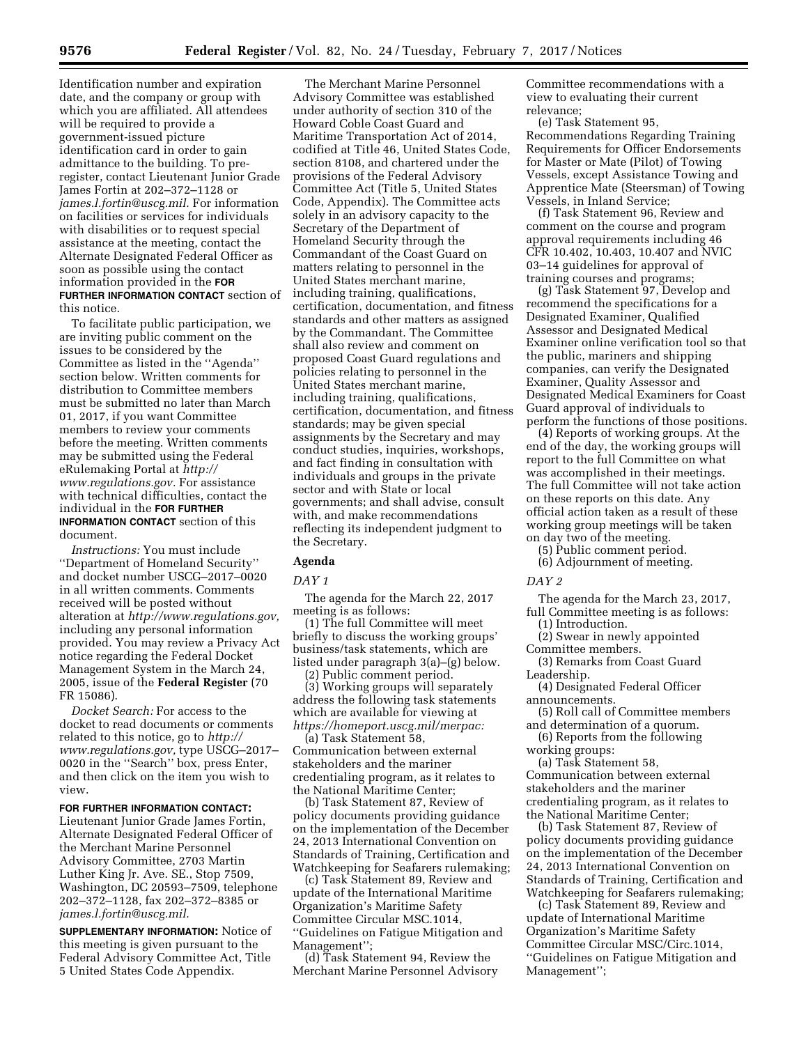Identification number and expiration date, and the company or group with which you are affiliated. All attendees will be required to provide a government-issued picture identification card in order to gain admittance to the building. To preregister, contact Lieutenant Junior Grade James Fortin at 202–372–1128 or *[james.l.fortin@uscg.mil.](mailto:james.l.fortin@uscg.mil)* For information on facilities or services for individuals with disabilities or to request special assistance at the meeting, contact the Alternate Designated Federal Officer as soon as possible using the contact information provided in the **FOR FURTHER INFORMATION CONTACT** section of this notice.

To facilitate public participation, we are inviting public comment on the issues to be considered by the Committee as listed in the ''Agenda'' section below. Written comments for distribution to Committee members must be submitted no later than March 01, 2017, if you want Committee members to review your comments before the meeting. Written comments may be submitted using the Federal eRulemaking Portal at *[http://](http://www.regulations.gov) [www.regulations.gov.](http://www.regulations.gov)* For assistance with technical difficulties, contact the individual in the **FOR FURTHER INFORMATION CONTACT** section of this document.

*Instructions:* You must include ''Department of Homeland Security'' and docket number USCG–2017–0020 in all written comments. Comments received will be posted without alteration at *[http://www.regulations.gov,](http://www.regulations.gov)*  including any personal information provided. You may review a Privacy Act notice regarding the Federal Docket Management System in the March 24, 2005, issue of the **Federal Register** (70 FR 15086).

*Docket Search:* For access to the docket to read documents or comments related to this notice, go to *[http://](http://www.regulations.gov) [www.regulations.gov,](http://www.regulations.gov)* type USCG–2017– 0020 in the ''Search'' box, press Enter, and then click on the item you wish to view.

### **FOR FURTHER INFORMATION CONTACT:**

Lieutenant Junior Grade James Fortin, Alternate Designated Federal Officer of the Merchant Marine Personnel Advisory Committee, 2703 Martin Luther King Jr. Ave. SE., Stop 7509, Washington, DC 20593–7509, telephone 202–372–1128, fax 202–372–8385 or *[james.l.fortin@uscg.mil.](mailto:james.l.fortin@uscg.mil)* 

**SUPPLEMENTARY INFORMATION:** Notice of this meeting is given pursuant to the Federal Advisory Committee Act, Title 5 United States Code Appendix.

The Merchant Marine Personnel Advisory Committee was established under authority of section 310 of the Howard Coble Coast Guard and Maritime Transportation Act of 2014, codified at Title 46, United States Code, section 8108, and chartered under the provisions of the Federal Advisory Committee Act (Title 5, United States Code, Appendix). The Committee acts solely in an advisory capacity to the Secretary of the Department of Homeland Security through the Commandant of the Coast Guard on matters relating to personnel in the United States merchant marine, including training, qualifications, certification, documentation, and fitness standards and other matters as assigned by the Commandant. The Committee shall also review and comment on proposed Coast Guard regulations and policies relating to personnel in the United States merchant marine, including training, qualifications, certification, documentation, and fitness standards; may be given special assignments by the Secretary and may conduct studies, inquiries, workshops, and fact finding in consultation with individuals and groups in the private sector and with State or local governments; and shall advise, consult with, and make recommendations reflecting its independent judgment to the Secretary.

### **Agenda**

#### *DAY 1*

The agenda for the March 22, 2017 meeting is as follows:

(1) The full Committee will meet briefly to discuss the working groups' business/task statements, which are listed under paragraph 3(a)–(g) below.

(2) Public comment period.

(3) Working groups will separately address the following task statements which are available for viewing at *[https://homeport.uscg.mil/merpac:](https://homeport.uscg.mil/merpac)* 

(a) Task Statement 58, Communication between external stakeholders and the mariner credentialing program, as it relates to the National Maritime Center;

(b) Task Statement 87, Review of policy documents providing guidance on the implementation of the December 24, 2013 International Convention on Standards of Training, Certification and Watchkeeping for Seafarers rulemaking;

(c) Task Statement 89, Review and update of the International Maritime Organization's Maritime Safety Committee Circular MSC.1014, ''Guidelines on Fatigue Mitigation and Management'';

(d) Task Statement 94, Review the Merchant Marine Personnel Advisory Committee recommendations with a view to evaluating their current relevance;

(e) Task Statement 95, Recommendations Regarding Training Requirements for Officer Endorsements for Master or Mate (Pilot) of Towing Vessels, except Assistance Towing and Apprentice Mate (Steersman) of Towing Vessels, in Inland Service;

(f) Task Statement 96, Review and comment on the course and program approval requirements including 46 CFR 10.402, 10.403, 10.407 and NVIC 03–14 guidelines for approval of training courses and programs;

(g) Task Statement 97, Develop and recommend the specifications for a Designated Examiner, Qualified Assessor and Designated Medical Examiner online verification tool so that the public, mariners and shipping companies, can verify the Designated Examiner, Quality Assessor and Designated Medical Examiners for Coast Guard approval of individuals to perform the functions of those positions.

(4) Reports of working groups. At the end of the day, the working groups will report to the full Committee on what was accomplished in their meetings. The full Committee will not take action on these reports on this date. Any official action taken as a result of these working group meetings will be taken on day two of the meeting.

(5) Public comment period.

(6) Adjournment of meeting.

*DAY 2* 

The agenda for the March 23, 2017, full Committee meeting is as follows:

(1) Introduction. (2) Swear in newly appointed

- Committee members.
- (3) Remarks from Coast Guard Leadership.

(4) Designated Federal Officer announcements.

- (5) Roll call of Committee members and determination of a quorum.
- (6) Reports from the following working groups:

(a) Task Statement 58, Communication between external stakeholders and the mariner credentialing program, as it relates to the National Maritime Center;

(b) Task Statement 87, Review of policy documents providing guidance on the implementation of the December 24, 2013 International Convention on Standards of Training, Certification and Watchkeeping for Seafarers rulemaking;

(c) Task Statement 89, Review and update of International Maritime Organization's Maritime Safety Committee Circular MSC/Circ.1014, ''Guidelines on Fatigue Mitigation and Management'';